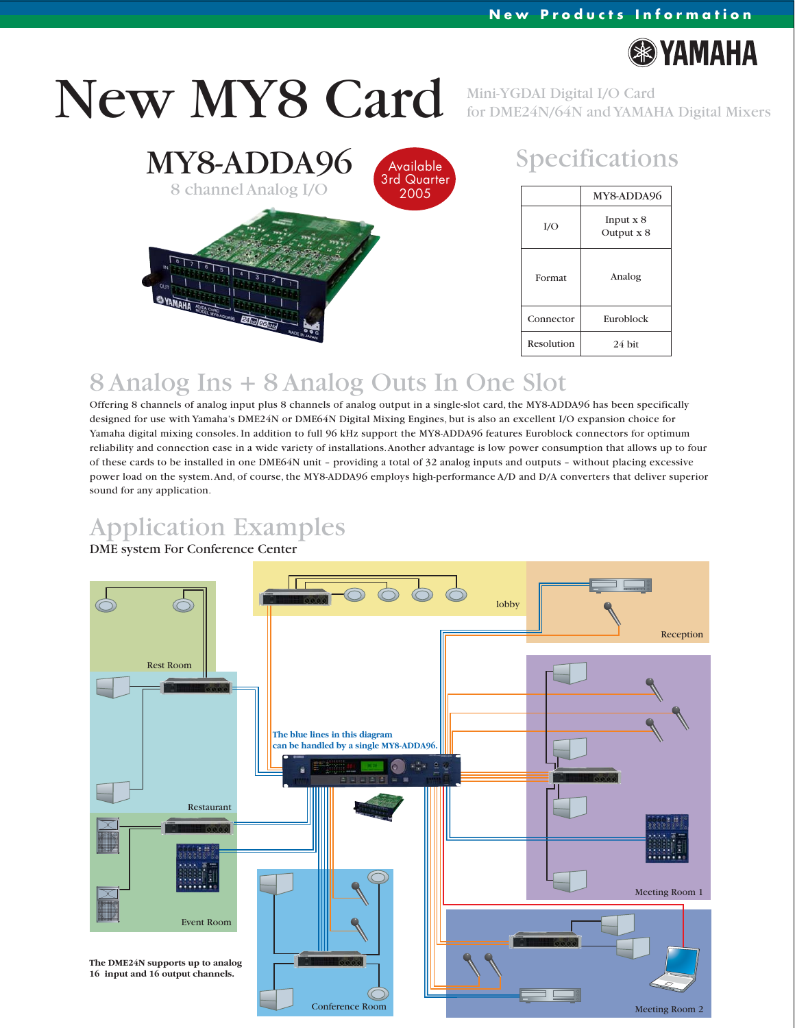

# New MY8 Card

Mini-YGDAI Digital I/O Card for DME24N/64N and YAMAHA Digital Mixers



### Specifications

|            | MY8-ADDA96                  |
|------------|-----------------------------|
| I/O        | Input $x_8$<br>Output $x 8$ |
| Format     | Analog                      |
| Connector  | Euroblock                   |
| Resolution | 24 bit                      |

## 8 Analog Ins + 8 Analog Outs In One Slot

Offering 8 channels of analog input plus 8 channels of analog output in a single-slot card, the MY8-ADDA96 has been specifically designed for use with Yamaha's DME24N or DME64N Digital Mixing Engines, but is also an excellent I/O expansion choice for Yamaha digital mixing consoles. In addition to full 96 kHz support the MY8-ADDA96 features Euroblock connectors for optimum reliability and connection ease in a wide variety of installations. Another advantage is low power consumption that allows up to four of these cards to be installed in one DME64N unit – providing a total of 32 analog inputs and outputs – without placing excessive power load on the system. And, of course, the MY8-ADDA96 employs high-performance A/D and D/A converters that deliver superior sound for any application.

## Application Examples

#### DME system For Conference Center